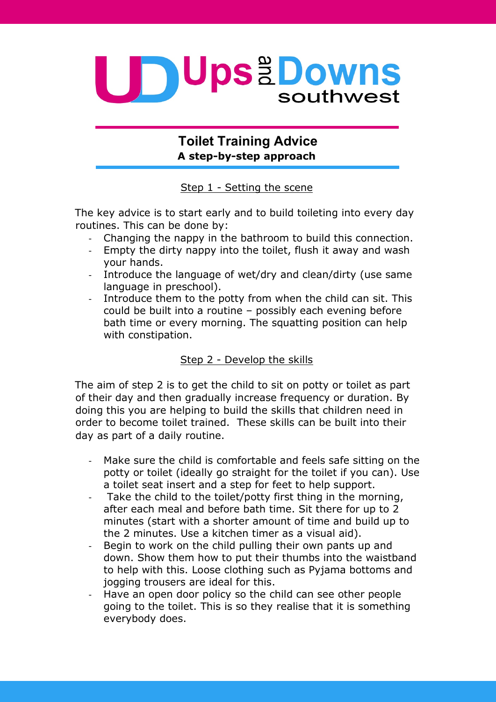

## **Toilet Training Advice A step-by-step approach**

Step 1 - Setting the scene

The key advice is to start early and to build toileting into every day routines. This can be done by:

- Changing the nappy in the bathroom to build this connection.
- Empty the dirty nappy into the toilet, flush it away and wash your hands.
- Introduce the language of wet/dry and clean/dirty (use same language in preschool).
- Introduce them to the potty from when the child can sit. This could be built into a routine – possibly each evening before bath time or every morning. The squatting position can help with constipation.

## Step 2 - Develop the skills

The aim of step 2 is to get the child to sit on potty or toilet as part of their day and then gradually increase frequency or duration. By doing this you are helping to build the skills that children need in order to become toilet trained. These skills can be built into their day as part of a daily routine.

- Make sure the child is comfortable and feels safe sitting on the potty or toilet (ideally go straight for the toilet if you can). Use a toilet seat insert and a step for feet to help support.
- Take the child to the toilet/potty first thing in the morning, after each meal and before bath time. Sit there for up to 2 minutes (start with a shorter amount of time and build up to the 2 minutes. Use a kitchen timer as a visual aid).
- Begin to work on the child pulling their own pants up and down. Show them how to put their thumbs into the waistband to help with this. Loose clothing such as Pyjama bottoms and jogging trousers are ideal for this.
- Have an open door policy so the child can see other people going to the toilet. This is so they realise that it is something everybody does.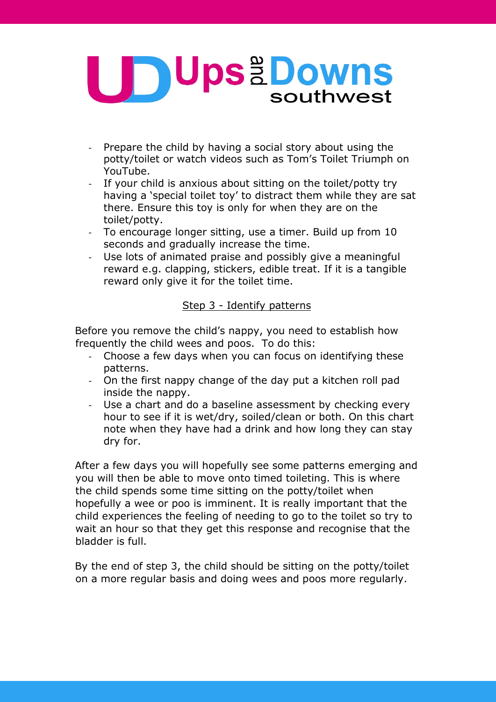

- Prepare the child by having a social story about using the potty/toilet or watch videos such as Tom's Toilet Triumph on YouTube.
- If your child is anxious about sitting on the toilet/potty try having a 'special toilet toy' to distract them while they are sat there. Ensure this toy is only for when they are on the toilet/potty.
- To encourage longer sitting, use a timer. Build up from 10 seconds and gradually increase the time.
- Use lots of animated praise and possibly give a meaningful reward e.g. clapping, stickers, edible treat. If it is a tangible reward only give it for the toilet time.

## Step 3 - Identify patterns

Before you remove the child's nappy, you need to establish how frequently the child wees and poos. To do this:

- Choose a few days when you can focus on identifying these patterns.
- On the first nappy change of the day put a kitchen roll pad inside the nappy.
- Use a chart and do a baseline assessment by checking every hour to see if it is wet/dry, soiled/clean or both. On this chart note when they have had a drink and how long they can stay dry for.

After a few days you will hopefully see some patterns emerging and you will then be able to move onto timed toileting. This is where the child spends some time sitting on the potty/toilet when hopefully a wee or poo is imminent. It is really important that the child experiences the feeling of needing to go to the toilet so try to wait an hour so that they get this response and recognise that the bladder is full.

By the end of step 3, the child should be sitting on the potty/toilet on a more regular basis and doing wees and poos more regularly.